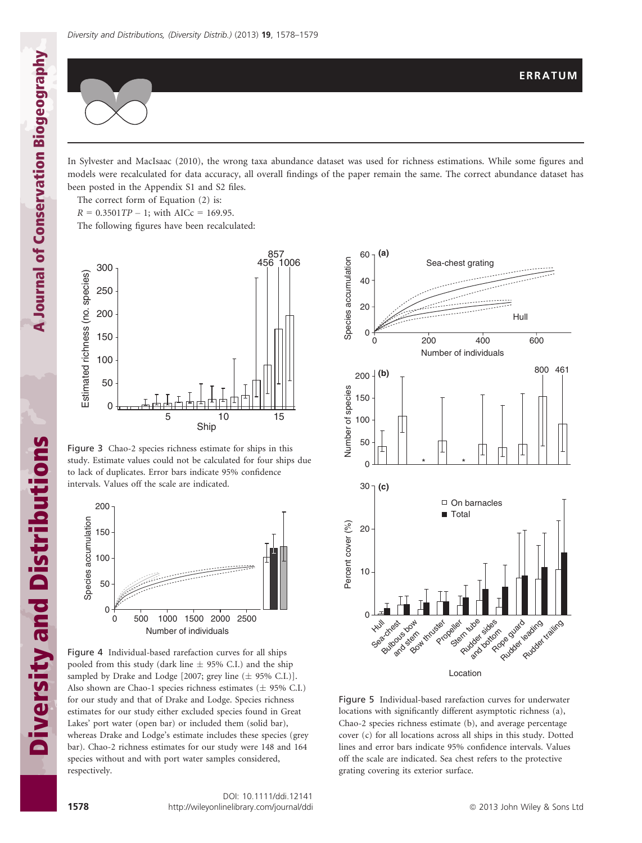

In Sylvester and MacIsaac (2010), the wrong taxa abundance dataset was used for richness estimations. While some figures and models were recalculated for data accuracy, all overall findings of the paper remain the same. The correct abundance dataset has been posted in the Appendix S1 and S2 files.

The correct form of Equation (2) is:

 $R = 0.3501TP - 1$ ; with AICc = 169.95.

The following figures have been recalculated:



Figure 3 Chao-2 species richness estimate for ships in this study. Estimate values could not be calculated for four ships due to lack of duplicates. Error bars indicate 95% confidence intervals. Values off the scale are indicated.



Figure 4 Individual-based rarefaction curves for all ships pooled from this study (dark line  $\pm$  95% C.I.) and the ship sampled by Drake and Lodge [2007; grey line  $(\pm 95\% \text{ C.L.})$ ]. Also shown are Chao-1 species richness estimates ( $\pm$  95% C.I.) for our study and that of Drake and Lodge. Species richness estimates for our study either excluded species found in Great Lakes' port water (open bar) or included them (solid bar), whereas Drake and Lodge's estimate includes these species (grey bar). Chao-2 richness estimates for our study were 148 and 164 species without and with port water samples considered, respectively.